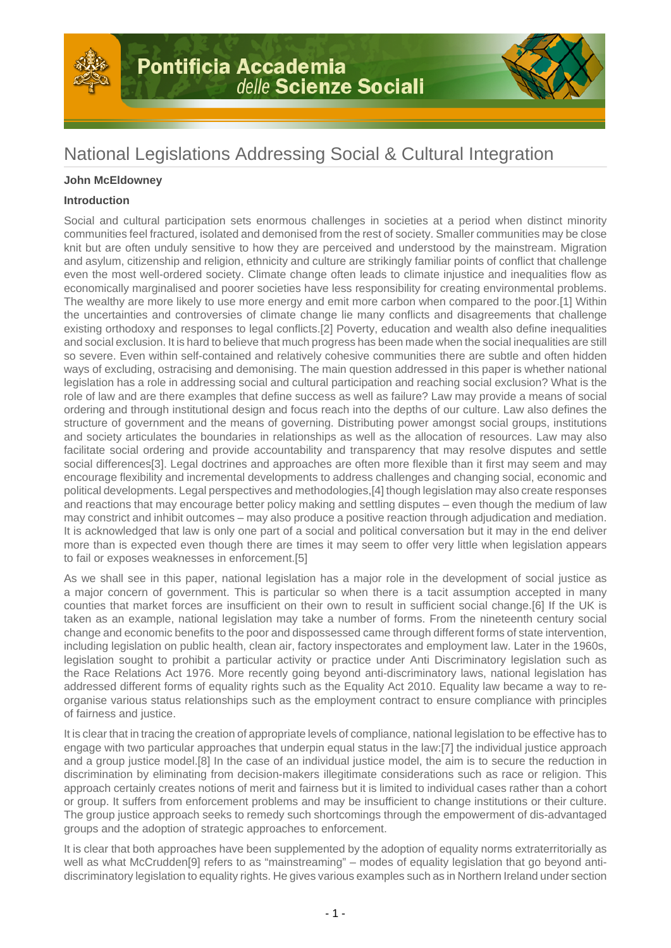



# National Legislations Addressing Social & Cultural Integration

# **John McEldowney**

## **Introduction**

Social and cultural participation sets enormous challenges in societies at a period when distinct minority communities feel fractured, isolated and demonised from the rest of society. Smaller communities may be close knit but are often unduly sensitive to how they are perceived and understood by the mainstream. Migration and asylum, citizenship and religion, ethnicity and culture are strikingly familiar points of conflict that challenge even the most well-ordered society. Climate change often leads to climate injustice and inequalities flow as economically marginalised and poorer societies have less responsibility for creating environmental problems. The wealthy are more likely to use more energy and emit more carbon when compared to the poor.[1] Within the uncertainties and controversies of climate change lie many conflicts and disagreements that challenge existing orthodoxy and responses to legal conflicts.[2] Poverty, education and wealth also define inequalities and social exclusion. It is hard to believe that much progress has been made when the social inequalities are still so severe. Even within self-contained and relatively cohesive communities there are subtle and often hidden ways of excluding, ostracising and demonising. The main question addressed in this paper is whether national legislation has a role in addressing social and cultural participation and reaching social exclusion? What is the role of law and are there examples that define success as well as failure? Law may provide a means of social ordering and through institutional design and focus reach into the depths of our culture. Law also defines the structure of government and the means of governing. Distributing power amongst social groups, institutions and society articulates the boundaries in relationships as well as the allocation of resources. Law may also facilitate social ordering and provide accountability and transparency that may resolve disputes and settle social differences[3]. Legal doctrines and approaches are often more flexible than it first may seem and may encourage flexibility and incremental developments to address challenges and changing social, economic and political developments. Legal perspectives and methodologies,[4] though legislation may also create responses and reactions that may encourage better policy making and settling disputes – even though the medium of law may constrict and inhibit outcomes – may also produce a positive reaction through adjudication and mediation. It is acknowledged that law is only one part of a social and political conversation but it may in the end deliver more than is expected even though there are times it may seem to offer very little when legislation appears to fail or exposes weaknesses in enforcement.[5]

As we shall see in this paper, national legislation has a major role in the development of social justice as a major concern of government. This is particular so when there is a tacit assumption accepted in many counties that market forces are insufficient on their own to result in sufficient social change.[6] If the UK is taken as an example, national legislation may take a number of forms. From the nineteenth century social change and economic benefits to the poor and dispossessed came through different forms of state intervention, including legislation on public health, clean air, factory inspectorates and employment law. Later in the 1960s, legislation sought to prohibit a particular activity or practice under Anti Discriminatory legislation such as the Race Relations Act 1976. More recently going beyond anti-discriminatory laws, national legislation has addressed different forms of equality rights such as the Equality Act 2010. Equality law became a way to reorganise various status relationships such as the employment contract to ensure compliance with principles of fairness and justice.

It is clear that in tracing the creation of appropriate levels of compliance, national legislation to be effective has to engage with two particular approaches that underpin equal status in the law:[7] the individual justice approach and a group justice model.[8] In the case of an individual justice model, the aim is to secure the reduction in discrimination by eliminating from decision-makers illegitimate considerations such as race or religion. This approach certainly creates notions of merit and fairness but it is limited to individual cases rather than a cohort or group. It suffers from enforcement problems and may be insufficient to change institutions or their culture. The group justice approach seeks to remedy such shortcomings through the empowerment of dis-advantaged groups and the adoption of strategic approaches to enforcement.

It is clear that both approaches have been supplemented by the adoption of equality norms extraterritorially as well as what McCrudden[9] refers to as "mainstreaming" – modes of equality legislation that go beyond antidiscriminatory legislation to equality rights. He gives various examples such as in Northern Ireland under section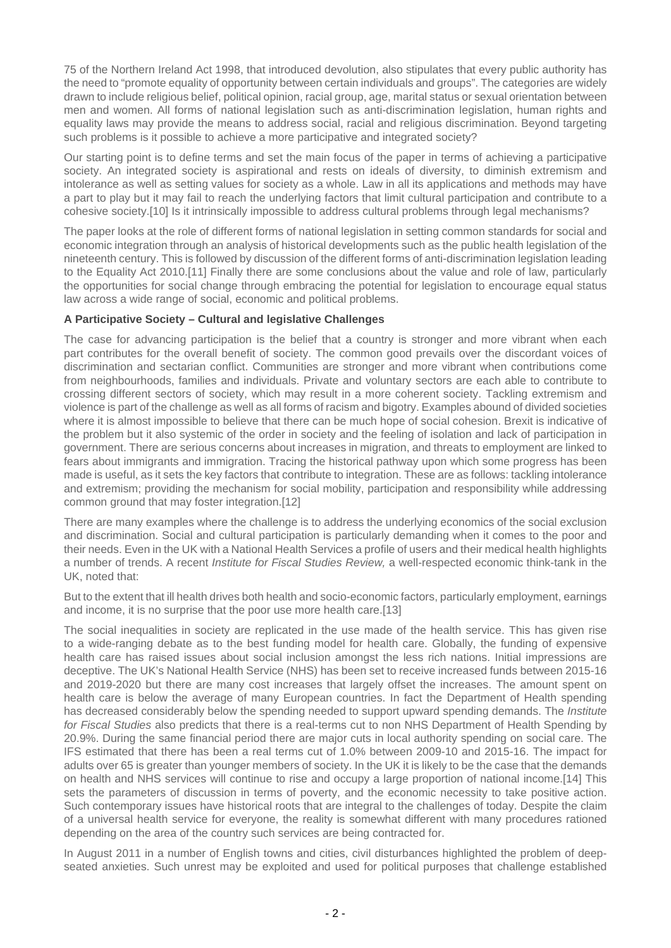75 of the Northern Ireland Act 1998, that introduced devolution, also stipulates that every public authority has the need to "promote equality of opportunity between certain individuals and groups". The categories are widely drawn to include religious belief, political opinion, racial group, age, marital status or sexual orientation between men and women. All forms of national legislation such as anti-discrimination legislation, human rights and equality laws may provide the means to address social, racial and religious discrimination. Beyond targeting such problems is it possible to achieve a more participative and integrated society?

Our starting point is to define terms and set the main focus of the paper in terms of achieving a participative society. An integrated society is aspirational and rests on ideals of diversity, to diminish extremism and intolerance as well as setting values for society as a whole. Law in all its applications and methods may have a part to play but it may fail to reach the underlying factors that limit cultural participation and contribute to a cohesive society.[10] Is it intrinsically impossible to address cultural problems through legal mechanisms?

The paper looks at the role of different forms of national legislation in setting common standards for social and economic integration through an analysis of historical developments such as the public health legislation of the nineteenth century. This is followed by discussion of the different forms of anti-discrimination legislation leading to the Equality Act 2010.[11] Finally there are some conclusions about the value and role of law, particularly the opportunities for social change through embracing the potential for legislation to encourage equal status law across a wide range of social, economic and political problems.

## **A Participative Society – Cultural and legislative Challenges**

The case for advancing participation is the belief that a country is stronger and more vibrant when each part contributes for the overall benefit of society. The common good prevails over the discordant voices of discrimination and sectarian conflict. Communities are stronger and more vibrant when contributions come from neighbourhoods, families and individuals. Private and voluntary sectors are each able to contribute to crossing different sectors of society, which may result in a more coherent society. Tackling extremism and violence is part of the challenge as well as all forms of racism and bigotry. Examples abound of divided societies where it is almost impossible to believe that there can be much hope of social cohesion. Brexit is indicative of the problem but it also systemic of the order in society and the feeling of isolation and lack of participation in government. There are serious concerns about increases in migration, and threats to employment are linked to fears about immigrants and immigration. Tracing the historical pathway upon which some progress has been made is useful, as it sets the key factors that contribute to integration. These are as follows: tackling intolerance and extremism; providing the mechanism for social mobility, participation and responsibility while addressing common ground that may foster integration.[12]

There are many examples where the challenge is to address the underlying economics of the social exclusion and discrimination. Social and cultural participation is particularly demanding when it comes to the poor and their needs. Even in the UK with a National Health Services a profile of users and their medical health highlights a number of trends. A recent Institute for Fiscal Studies Review, a well-respected economic think-tank in the UK, noted that:

But to the extent that ill health drives both health and socio-economic factors, particularly employment, earnings and income, it is no surprise that the poor use more health care.[13]

The social inequalities in society are replicated in the use made of the health service. This has given rise to a wide-ranging debate as to the best funding model for health care. Globally, the funding of expensive health care has raised issues about social inclusion amongst the less rich nations. Initial impressions are deceptive. The UK's National Health Service (NHS) has been set to receive increased funds between 2015-16 and 2019-2020 but there are many cost increases that largely offset the increases. The amount spent on health care is below the average of many European countries. In fact the Department of Health spending has decreased considerably below the spending needed to support upward spending demands. The *Institute* for Fiscal Studies also predicts that there is a real-terms cut to non NHS Department of Health Spending by 20.9%. During the same financial period there are major cuts in local authority spending on social care. The IFS estimated that there has been a real terms cut of 1.0% between 2009-10 and 2015-16. The impact for adults over 65 is greater than younger members of society. In the UK it is likely to be the case that the demands on health and NHS services will continue to rise and occupy a large proportion of national income.[14] This sets the parameters of discussion in terms of poverty, and the economic necessity to take positive action. Such contemporary issues have historical roots that are integral to the challenges of today. Despite the claim of a universal health service for everyone, the reality is somewhat different with many procedures rationed depending on the area of the country such services are being contracted for.

In August 2011 in a number of English towns and cities, civil disturbances highlighted the problem of deepseated anxieties. Such unrest may be exploited and used for political purposes that challenge established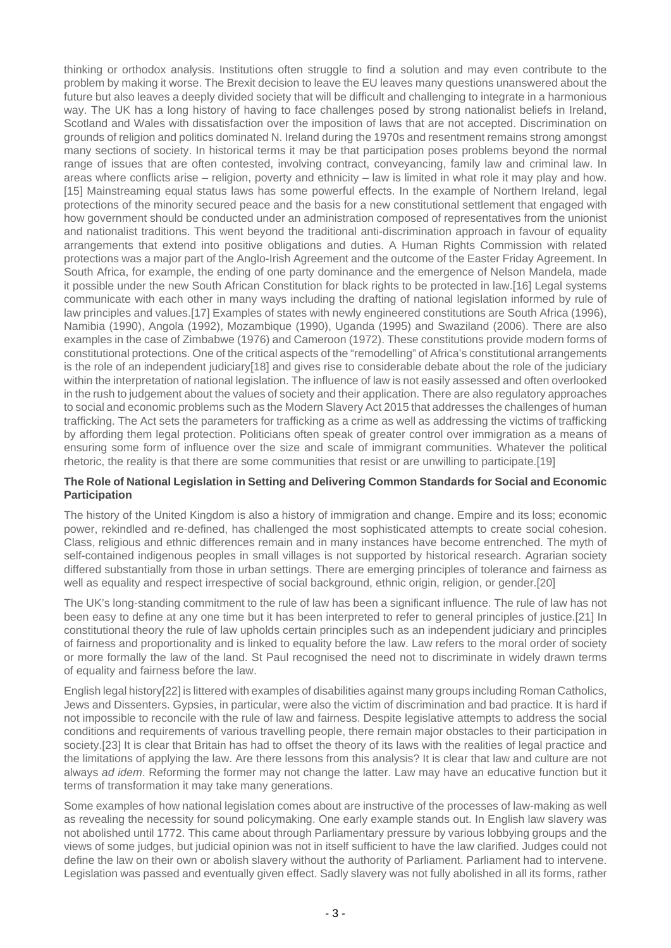thinking or orthodox analysis. Institutions often struggle to find a solution and may even contribute to the problem by making it worse. The Brexit decision to leave the EU leaves many questions unanswered about the future but also leaves a deeply divided society that will be difficult and challenging to integrate in a harmonious way. The UK has a long history of having to face challenges posed by strong nationalist beliefs in Ireland, Scotland and Wales with dissatisfaction over the imposition of laws that are not accepted. Discrimination on grounds of religion and politics dominated N. Ireland during the 1970s and resentment remains strong amongst many sections of society. In historical terms it may be that participation poses problems beyond the normal range of issues that are often contested, involving contract, conveyancing, family law and criminal law. In areas where conflicts arise – religion, poverty and ethnicity – law is limited in what role it may play and how. [15] Mainstreaming equal status laws has some powerful effects. In the example of Northern Ireland, legal protections of the minority secured peace and the basis for a new constitutional settlement that engaged with how government should be conducted under an administration composed of representatives from the unionist and nationalist traditions. This went beyond the traditional anti-discrimination approach in favour of equality arrangements that extend into positive obligations and duties. A Human Rights Commission with related protections was a major part of the Anglo-Irish Agreement and the outcome of the Easter Friday Agreement. In South Africa, for example, the ending of one party dominance and the emergence of Nelson Mandela, made it possible under the new South African Constitution for black rights to be protected in law.[16] Legal systems communicate with each other in many ways including the drafting of national legislation informed by rule of law principles and values.[17] Examples of states with newly engineered constitutions are South Africa (1996), Namibia (1990), Angola (1992), Mozambique (1990), Uganda (1995) and Swaziland (2006). There are also examples in the case of Zimbabwe (1976) and Cameroon (1972). These constitutions provide modern forms of constitutional protections. One of the critical aspects of the "remodelling" of Africa's constitutional arrangements is the role of an independent judiciary[18] and gives rise to considerable debate about the role of the judiciary within the interpretation of national legislation. The influence of law is not easily assessed and often overlooked in the rush to judgement about the values of society and their application. There are also regulatory approaches to social and economic problems such as the Modern Slavery Act 2015 that addresses the challenges of human trafficking. The Act sets the parameters for trafficking as a crime as well as addressing the victims of trafficking by affording them legal protection. Politicians often speak of greater control over immigration as a means of ensuring some form of influence over the size and scale of immigrant communities. Whatever the political rhetoric, the reality is that there are some communities that resist or are unwilling to participate.[19]

#### **The Role of National Legislation in Setting and Delivering Common Standards for Social and Economic Participation**

The history of the United Kingdom is also a history of immigration and change. Empire and its loss; economic power, rekindled and re-defined, has challenged the most sophisticated attempts to create social cohesion. Class, religious and ethnic differences remain and in many instances have become entrenched. The myth of self-contained indigenous peoples in small villages is not supported by historical research. Agrarian society differed substantially from those in urban settings. There are emerging principles of tolerance and fairness as well as equality and respect irrespective of social background, ethnic origin, religion, or gender.[20]

The UK's long-standing commitment to the rule of law has been a significant influence. The rule of law has not been easy to define at any one time but it has been interpreted to refer to general principles of justice.[21] In constitutional theory the rule of law upholds certain principles such as an independent judiciary and principles of fairness and proportionality and is linked to equality before the law. Law refers to the moral order of society or more formally the law of the land. St Paul recognised the need not to discriminate in widely drawn terms of equality and fairness before the law.

English legal history[22] is littered with examples of disabilities against many groups including Roman Catholics, Jews and Dissenters. Gypsies, in particular, were also the victim of discrimination and bad practice. It is hard if not impossible to reconcile with the rule of law and fairness. Despite legislative attempts to address the social conditions and requirements of various travelling people, there remain major obstacles to their participation in society.[23] It is clear that Britain has had to offset the theory of its laws with the realities of legal practice and the limitations of applying the law. Are there lessons from this analysis? It is clear that law and culture are not always ad idem. Reforming the former may not change the latter. Law may have an educative function but it terms of transformation it may take many generations.

Some examples of how national legislation comes about are instructive of the processes of law-making as well as revealing the necessity for sound policymaking. One early example stands out. In English law slavery was not abolished until 1772. This came about through Parliamentary pressure by various lobbying groups and the views of some judges, but judicial opinion was not in itself sufficient to have the law clarified. Judges could not define the law on their own or abolish slavery without the authority of Parliament. Parliament had to intervene. Legislation was passed and eventually given effect. Sadly slavery was not fully abolished in all its forms, rather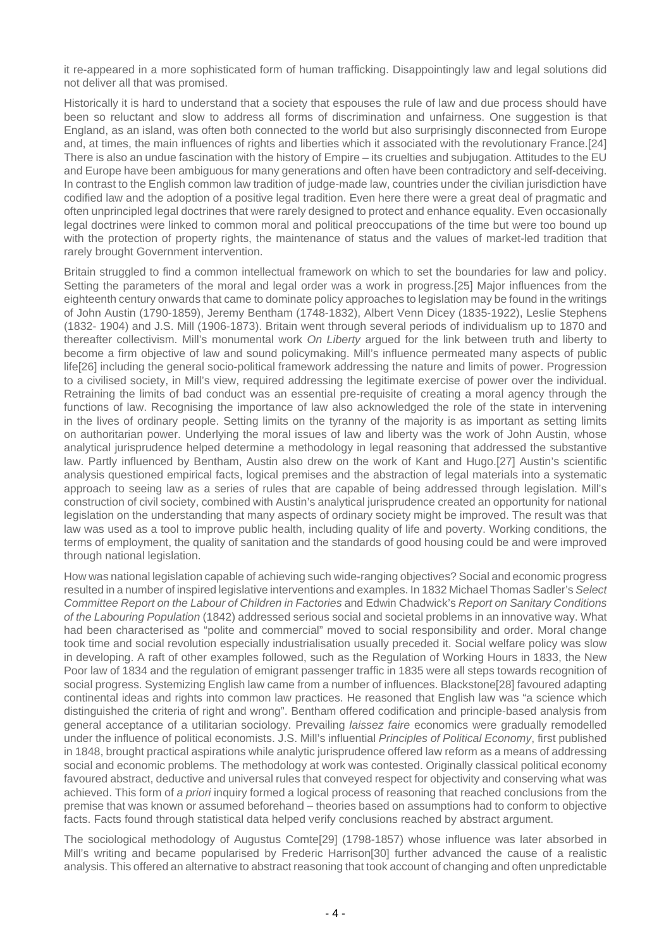it re-appeared in a more sophisticated form of human trafficking. Disappointingly law and legal solutions did not deliver all that was promised.

Historically it is hard to understand that a society that espouses the rule of law and due process should have been so reluctant and slow to address all forms of discrimination and unfairness. One suggestion is that England, as an island, was often both connected to the world but also surprisingly disconnected from Europe and, at times, the main influences of rights and liberties which it associated with the revolutionary France.[24] There is also an undue fascination with the history of Empire – its cruelties and subjugation. Attitudes to the EU and Europe have been ambiguous for many generations and often have been contradictory and self-deceiving. In contrast to the English common law tradition of judge-made law, countries under the civilian jurisdiction have codified law and the adoption of a positive legal tradition. Even here there were a great deal of pragmatic and often unprincipled legal doctrines that were rarely designed to protect and enhance equality. Even occasionally legal doctrines were linked to common moral and political preoccupations of the time but were too bound up with the protection of property rights, the maintenance of status and the values of market-led tradition that rarely brought Government intervention.

Britain struggled to find a common intellectual framework on which to set the boundaries for law and policy. Setting the parameters of the moral and legal order was a work in progress.[25] Major influences from the eighteenth century onwards that came to dominate policy approaches to legislation may be found in the writings of John Austin (1790-1859), Jeremy Bentham (1748-1832), Albert Venn Dicey (1835-1922), Leslie Stephens (1832- 1904) and J.S. Mill (1906-1873). Britain went through several periods of individualism up to 1870 and thereafter collectivism. Mill's monumental work On Liberty argued for the link between truth and liberty to become a firm objective of law and sound policymaking. Mill's influence permeated many aspects of public life[26] including the general socio-political framework addressing the nature and limits of power. Progression to a civilised society, in Mill's view, required addressing the legitimate exercise of power over the individual. Retraining the limits of bad conduct was an essential pre-requisite of creating a moral agency through the functions of law. Recognising the importance of law also acknowledged the role of the state in intervening in the lives of ordinary people. Setting limits on the tyranny of the majority is as important as setting limits on authoritarian power. Underlying the moral issues of law and liberty was the work of John Austin, whose analytical jurisprudence helped determine a methodology in legal reasoning that addressed the substantive law. Partly influenced by Bentham, Austin also drew on the work of Kant and Hugo.[27] Austin's scientific analysis questioned empirical facts, logical premises and the abstraction of legal materials into a systematic approach to seeing law as a series of rules that are capable of being addressed through legislation. Mill's construction of civil society, combined with Austin's analytical jurisprudence created an opportunity for national legislation on the understanding that many aspects of ordinary society might be improved. The result was that law was used as a tool to improve public health, including quality of life and poverty. Working conditions, the terms of employment, the quality of sanitation and the standards of good housing could be and were improved through national legislation.

How was national legislation capable of achieving such wide-ranging objectives? Social and economic progress resulted in a number of inspired legislative interventions and examples. In 1832 Michael Thomas Sadler's Select Committee Report on the Labour of Children in Factories and Edwin Chadwick's Report on Sanitary Conditions of the Labouring Population (1842) addressed serious social and societal problems in an innovative way. What had been characterised as "polite and commercial" moved to social responsibility and order. Moral change took time and social revolution especially industrialisation usually preceded it. Social welfare policy was slow in developing. A raft of other examples followed, such as the Regulation of Working Hours in 1833, the New Poor law of 1834 and the regulation of emigrant passenger traffic in 1835 were all steps towards recognition of social progress. Systemizing English law came from a number of influences. Blackstone[28] favoured adapting continental ideas and rights into common law practices. He reasoned that English law was "a science which distinguished the criteria of right and wrong". Bentham offered codification and principle-based analysis from general acceptance of a utilitarian sociology. Prevailing laissez faire economics were gradually remodelled under the influence of political economists. J.S. Mill's influential Principles of Political Economy, first published in 1848, brought practical aspirations while analytic jurisprudence offered law reform as a means of addressing social and economic problems. The methodology at work was contested. Originally classical political economy favoured abstract, deductive and universal rules that conveyed respect for objectivity and conserving what was achieved. This form of a priori inquiry formed a logical process of reasoning that reached conclusions from the premise that was known or assumed beforehand – theories based on assumptions had to conform to objective facts. Facts found through statistical data helped verify conclusions reached by abstract argument.

The sociological methodology of Augustus Comte[29] (1798-1857) whose influence was later absorbed in Mill's writing and became popularised by Frederic Harrison[30] further advanced the cause of a realistic analysis. This offered an alternative to abstract reasoning that took account of changing and often unpredictable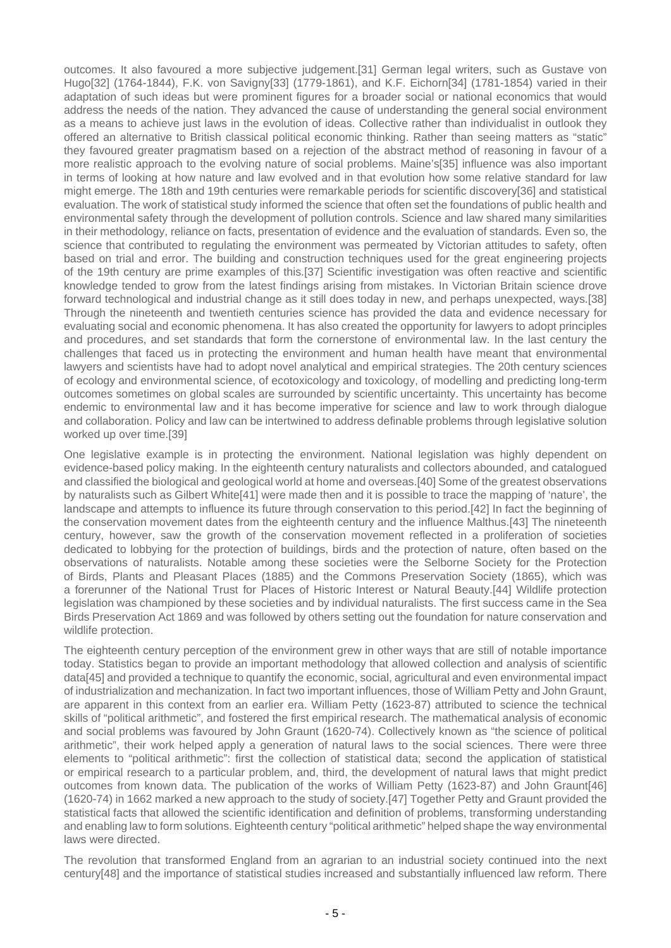outcomes. It also favoured a more subjective judgement.[31] German legal writers, such as Gustave von Hugo[32] (1764-1844), F.K. von Savigny[33] (1779-1861), and K.F. Eichorn[34] (1781-1854) varied in their adaptation of such ideas but were prominent figures for a broader social or national economics that would address the needs of the nation. They advanced the cause of understanding the general social environment as a means to achieve just laws in the evolution of ideas. Collective rather than individualist in outlook they offered an alternative to British classical political economic thinking. Rather than seeing matters as "static" they favoured greater pragmatism based on a rejection of the abstract method of reasoning in favour of a more realistic approach to the evolving nature of social problems. Maine's[35] influence was also important in terms of looking at how nature and law evolved and in that evolution how some relative standard for law might emerge. The 18th and 19th centuries were remarkable periods for scientific discovery[36] and statistical evaluation. The work of statistical study informed the science that often set the foundations of public health and environmental safety through the development of pollution controls. Science and law shared many similarities in their methodology, reliance on facts, presentation of evidence and the evaluation of standards. Even so, the science that contributed to regulating the environment was permeated by Victorian attitudes to safety, often based on trial and error. The building and construction techniques used for the great engineering projects of the 19th century are prime examples of this.[37] Scientific investigation was often reactive and scientific knowledge tended to grow from the latest findings arising from mistakes. In Victorian Britain science drove forward technological and industrial change as it still does today in new, and perhaps unexpected, ways.[38] Through the nineteenth and twentieth centuries science has provided the data and evidence necessary for evaluating social and economic phenomena. It has also created the opportunity for lawyers to adopt principles and procedures, and set standards that form the cornerstone of environmental law. In the last century the challenges that faced us in protecting the environment and human health have meant that environmental lawyers and scientists have had to adopt novel analytical and empirical strategies. The 20th century sciences of ecology and environmental science, of ecotoxicology and toxicology, of modelling and predicting long-term outcomes sometimes on global scales are surrounded by scientific uncertainty. This uncertainty has become endemic to environmental law and it has become imperative for science and law to work through dialogue and collaboration. Policy and law can be intertwined to address definable problems through legislative solution worked up over time.[39]

One legislative example is in protecting the environment. National legislation was highly dependent on evidence-based policy making. In the eighteenth century naturalists and collectors abounded, and catalogued and classified the biological and geological world at home and overseas.[40] Some of the greatest observations by naturalists such as Gilbert White[41] were made then and it is possible to trace the mapping of 'nature', the landscape and attempts to influence its future through conservation to this period.[42] In fact the beginning of the conservation movement dates from the eighteenth century and the influence Malthus.[43] The nineteenth century, however, saw the growth of the conservation movement reflected in a proliferation of societies dedicated to lobbying for the protection of buildings, birds and the protection of nature, often based on the observations of naturalists. Notable among these societies were the Selborne Society for the Protection of Birds, Plants and Pleasant Places (1885) and the Commons Preservation Society (1865), which was a forerunner of the National Trust for Places of Historic Interest or Natural Beauty.[44] Wildlife protection legislation was championed by these societies and by individual naturalists. The first success came in the Sea Birds Preservation Act 1869 and was followed by others setting out the foundation for nature conservation and wildlife protection.

The eighteenth century perception of the environment grew in other ways that are still of notable importance today. Statistics began to provide an important methodology that allowed collection and analysis of scientific data[45] and provided a technique to quantify the economic, social, agricultural and even environmental impact of industrialization and mechanization. In fact two important influences, those of William Petty and John Graunt, are apparent in this context from an earlier era. William Petty (1623-87) attributed to science the technical skills of "political arithmetic", and fostered the first empirical research. The mathematical analysis of economic and social problems was favoured by John Graunt (1620-74). Collectively known as "the science of political arithmetic", their work helped apply a generation of natural laws to the social sciences. There were three elements to "political arithmetic": first the collection of statistical data; second the application of statistical or empirical research to a particular problem, and, third, the development of natural laws that might predict outcomes from known data. The publication of the works of William Petty (1623-87) and John Graunt[46] (1620-74) in 1662 marked a new approach to the study of society.[47] Together Petty and Graunt provided the statistical facts that allowed the scientific identification and definition of problems, transforming understanding and enabling law to form solutions. Eighteenth century "political arithmetic" helped shape the way environmental laws were directed.

The revolution that transformed England from an agrarian to an industrial society continued into the next century[48] and the importance of statistical studies increased and substantially influenced law reform. There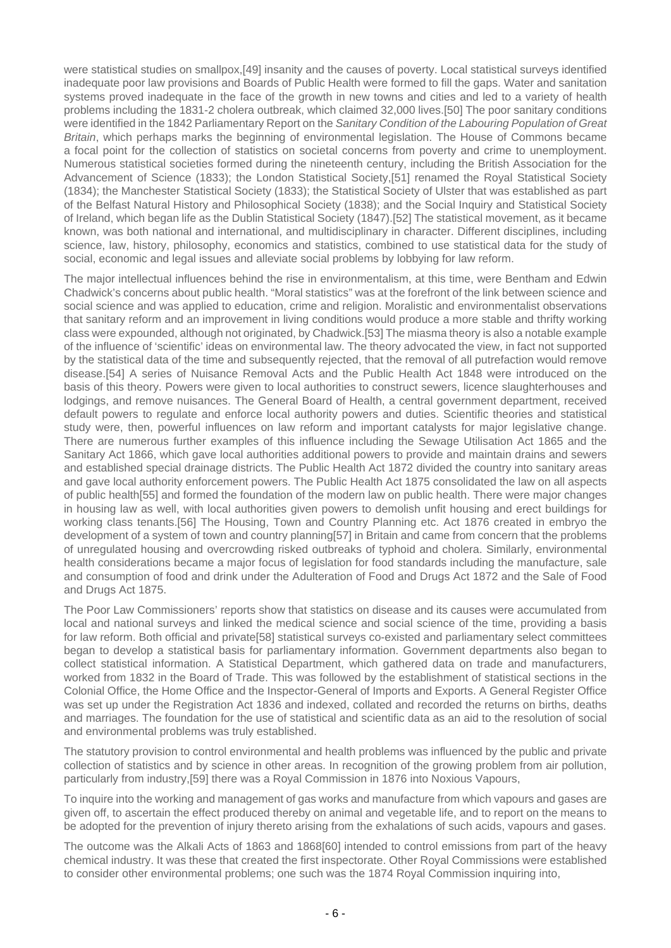were statistical studies on smallpox,[49] insanity and the causes of poverty. Local statistical surveys identified inadequate poor law provisions and Boards of Public Health were formed to fill the gaps. Water and sanitation systems proved inadequate in the face of the growth in new towns and cities and led to a variety of health problems including the 1831-2 cholera outbreak, which claimed 32,000 lives.[50] The poor sanitary conditions were identified in the 1842 Parliamentary Report on the Sanitary Condition of the Labouring Population of Great Britain, which perhaps marks the beginning of environmental legislation. The House of Commons became a focal point for the collection of statistics on societal concerns from poverty and crime to unemployment. Numerous statistical societies formed during the nineteenth century, including the British Association for the Advancement of Science (1833); the London Statistical Society,[51] renamed the Royal Statistical Society (1834); the Manchester Statistical Society (1833); the Statistical Society of Ulster that was established as part of the Belfast Natural History and Philosophical Society (1838); and the Social Inquiry and Statistical Society of Ireland, which began life as the Dublin Statistical Society (1847).[52] The statistical movement, as it became known, was both national and international, and multidisciplinary in character. Different disciplines, including science, law, history, philosophy, economics and statistics, combined to use statistical data for the study of social, economic and legal issues and alleviate social problems by lobbying for law reform.

The major intellectual influences behind the rise in environmentalism, at this time, were Bentham and Edwin Chadwick's concerns about public health. "Moral statistics" was at the forefront of the link between science and social science and was applied to education, crime and religion. Moralistic and environmentalist observations that sanitary reform and an improvement in living conditions would produce a more stable and thrifty working class were expounded, although not originated, by Chadwick.[53] The miasma theory is also a notable example of the influence of 'scientific' ideas on environmental law. The theory advocated the view, in fact not supported by the statistical data of the time and subsequently rejected, that the removal of all putrefaction would remove disease.[54] A series of Nuisance Removal Acts and the Public Health Act 1848 were introduced on the basis of this theory. Powers were given to local authorities to construct sewers, licence slaughterhouses and lodgings, and remove nuisances. The General Board of Health, a central government department, received default powers to regulate and enforce local authority powers and duties. Scientific theories and statistical study were, then, powerful influences on law reform and important catalysts for major legislative change. There are numerous further examples of this influence including the Sewage Utilisation Act 1865 and the Sanitary Act 1866, which gave local authorities additional powers to provide and maintain drains and sewers and established special drainage districts. The Public Health Act 1872 divided the country into sanitary areas and gave local authority enforcement powers. The Public Health Act 1875 consolidated the law on all aspects of public health[55] and formed the foundation of the modern law on public health. There were major changes in housing law as well, with local authorities given powers to demolish unfit housing and erect buildings for working class tenants.[56] The Housing, Town and Country Planning etc. Act 1876 created in embryo the development of a system of town and country planning[57] in Britain and came from concern that the problems of unregulated housing and overcrowding risked outbreaks of typhoid and cholera. Similarly, environmental health considerations became a major focus of legislation for food standards including the manufacture, sale and consumption of food and drink under the Adulteration of Food and Drugs Act 1872 and the Sale of Food and Drugs Act 1875.

The Poor Law Commissioners' reports show that statistics on disease and its causes were accumulated from local and national surveys and linked the medical science and social science of the time, providing a basis for law reform. Both official and private[58] statistical surveys co-existed and parliamentary select committees began to develop a statistical basis for parliamentary information. Government departments also began to collect statistical information. A Statistical Department, which gathered data on trade and manufacturers, worked from 1832 in the Board of Trade. This was followed by the establishment of statistical sections in the Colonial Office, the Home Office and the Inspector-General of Imports and Exports. A General Register Office was set up under the Registration Act 1836 and indexed, collated and recorded the returns on births, deaths and marriages. The foundation for the use of statistical and scientific data as an aid to the resolution of social and environmental problems was truly established.

The statutory provision to control environmental and health problems was influenced by the public and private collection of statistics and by science in other areas. In recognition of the growing problem from air pollution, particularly from industry,[59] there was a Royal Commission in 1876 into Noxious Vapours,

To inquire into the working and management of gas works and manufacture from which vapours and gases are given off, to ascertain the effect produced thereby on animal and vegetable life, and to report on the means to be adopted for the prevention of injury thereto arising from the exhalations of such acids, vapours and gases.

The outcome was the Alkali Acts of 1863 and 1868[60] intended to control emissions from part of the heavy chemical industry. It was these that created the first inspectorate. Other Royal Commissions were established to consider other environmental problems; one such was the 1874 Royal Commission inquiring into,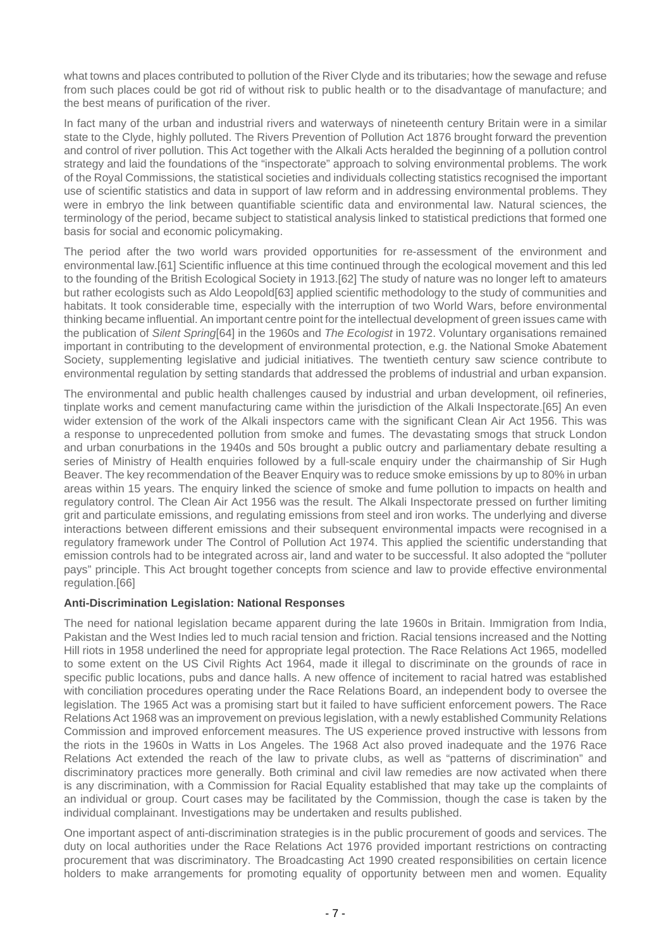what towns and places contributed to pollution of the River Clyde and its tributaries; how the sewage and refuse from such places could be got rid of without risk to public health or to the disadvantage of manufacture; and the best means of purification of the river.

In fact many of the urban and industrial rivers and waterways of nineteenth century Britain were in a similar state to the Clyde, highly polluted. The Rivers Prevention of Pollution Act 1876 brought forward the prevention and control of river pollution. This Act together with the Alkali Acts heralded the beginning of a pollution control strategy and laid the foundations of the "inspectorate" approach to solving environmental problems. The work of the Royal Commissions, the statistical societies and individuals collecting statistics recognised the important use of scientific statistics and data in support of law reform and in addressing environmental problems. They were in embryo the link between quantifiable scientific data and environmental law. Natural sciences, the terminology of the period, became subject to statistical analysis linked to statistical predictions that formed one basis for social and economic policymaking.

The period after the two world wars provided opportunities for re-assessment of the environment and environmental law.[61] Scientific influence at this time continued through the ecological movement and this led to the founding of the British Ecological Society in 1913.[62] The study of nature was no longer left to amateurs but rather ecologists such as Aldo Leopold[63] applied scientific methodology to the study of communities and habitats. It took considerable time, especially with the interruption of two World Wars, before environmental thinking became influential. An important centre point for the intellectual development of green issues came with the publication of Silent Spring[64] in the 1960s and The Ecologist in 1972. Voluntary organisations remained important in contributing to the development of environmental protection, e.g. the National Smoke Abatement Society, supplementing legislative and judicial initiatives. The twentieth century saw science contribute to environmental regulation by setting standards that addressed the problems of industrial and urban expansion.

The environmental and public health challenges caused by industrial and urban development, oil refineries, tinplate works and cement manufacturing came within the jurisdiction of the Alkali Inspectorate.[65] An even wider extension of the work of the Alkali inspectors came with the significant Clean Air Act 1956. This was a response to unprecedented pollution from smoke and fumes. The devastating smogs that struck London and urban conurbations in the 1940s and 50s brought a public outcry and parliamentary debate resulting a series of Ministry of Health enquiries followed by a full-scale enquiry under the chairmanship of Sir Hugh Beaver. The key recommendation of the Beaver Enquiry was to reduce smoke emissions by up to 80% in urban areas within 15 years. The enquiry linked the science of smoke and fume pollution to impacts on health and regulatory control. The Clean Air Act 1956 was the result. The Alkali Inspectorate pressed on further limiting grit and particulate emissions, and regulating emissions from steel and iron works. The underlying and diverse interactions between different emissions and their subsequent environmental impacts were recognised in a regulatory framework under The Control of Pollution Act 1974. This applied the scientific understanding that emission controls had to be integrated across air, land and water to be successful. It also adopted the "polluter pays" principle. This Act brought together concepts from science and law to provide effective environmental regulation.[66]

#### **Anti-Discrimination Legislation: National Responses**

The need for national legislation became apparent during the late 1960s in Britain. Immigration from India, Pakistan and the West Indies led to much racial tension and friction. Racial tensions increased and the Notting Hill riots in 1958 underlined the need for appropriate legal protection. The Race Relations Act 1965, modelled to some extent on the US Civil Rights Act 1964, made it illegal to discriminate on the grounds of race in specific public locations, pubs and dance halls. A new offence of incitement to racial hatred was established with conciliation procedures operating under the Race Relations Board, an independent body to oversee the legislation. The 1965 Act was a promising start but it failed to have sufficient enforcement powers. The Race Relations Act 1968 was an improvement on previous legislation, with a newly established Community Relations Commission and improved enforcement measures. The US experience proved instructive with lessons from the riots in the 1960s in Watts in Los Angeles. The 1968 Act also proved inadequate and the 1976 Race Relations Act extended the reach of the law to private clubs, as well as "patterns of discrimination" and discriminatory practices more generally. Both criminal and civil law remedies are now activated when there is any discrimination, with a Commission for Racial Equality established that may take up the complaints of an individual or group. Court cases may be facilitated by the Commission, though the case is taken by the individual complainant. Investigations may be undertaken and results published.

One important aspect of anti-discrimination strategies is in the public procurement of goods and services. The duty on local authorities under the Race Relations Act 1976 provided important restrictions on contracting procurement that was discriminatory. The Broadcasting Act 1990 created responsibilities on certain licence holders to make arrangements for promoting equality of opportunity between men and women. Equality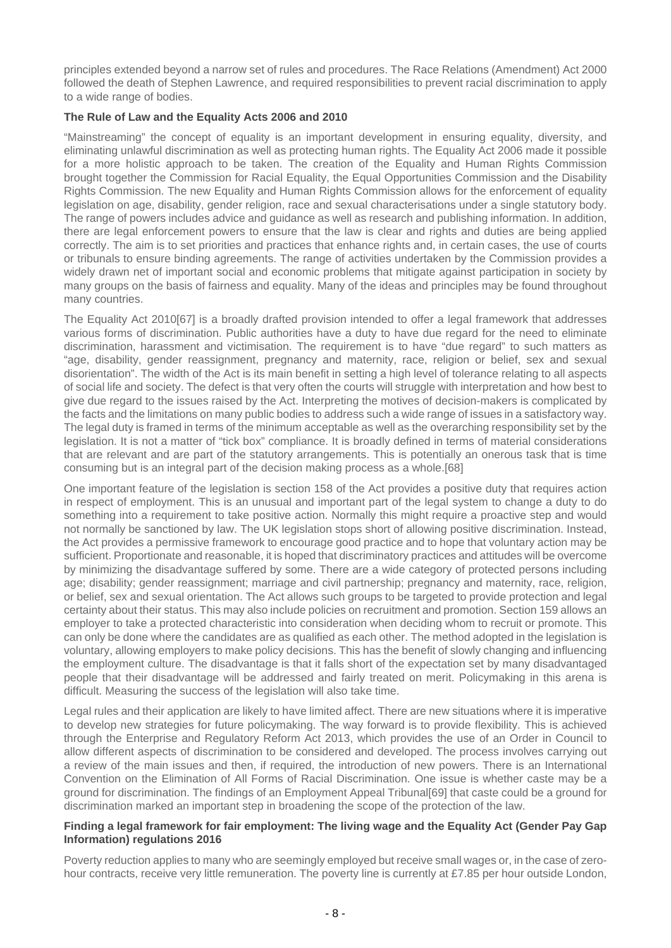principles extended beyond a narrow set of rules and procedures. The Race Relations (Amendment) Act 2000 followed the death of Stephen Lawrence, and required responsibilities to prevent racial discrimination to apply to a wide range of bodies.

## **The Rule of Law and the Equality Acts 2006 and 2010**

"Mainstreaming" the concept of equality is an important development in ensuring equality, diversity, and eliminating unlawful discrimination as well as protecting human rights. The Equality Act 2006 made it possible for a more holistic approach to be taken. The creation of the Equality and Human Rights Commission brought together the Commission for Racial Equality, the Equal Opportunities Commission and the Disability Rights Commission. The new Equality and Human Rights Commission allows for the enforcement of equality legislation on age, disability, gender religion, race and sexual characterisations under a single statutory body. The range of powers includes advice and guidance as well as research and publishing information. In addition, there are legal enforcement powers to ensure that the law is clear and rights and duties are being applied correctly. The aim is to set priorities and practices that enhance rights and, in certain cases, the use of courts or tribunals to ensure binding agreements. The range of activities undertaken by the Commission provides a widely drawn net of important social and economic problems that mitigate against participation in society by many groups on the basis of fairness and equality. Many of the ideas and principles may be found throughout many countries.

The Equality Act 2010[67] is a broadly drafted provision intended to offer a legal framework that addresses various forms of discrimination. Public authorities have a duty to have due regard for the need to eliminate discrimination, harassment and victimisation. The requirement is to have "due regard" to such matters as "age, disability, gender reassignment, pregnancy and maternity, race, religion or belief, sex and sexual disorientation". The width of the Act is its main benefit in setting a high level of tolerance relating to all aspects of social life and society. The defect is that very often the courts will struggle with interpretation and how best to give due regard to the issues raised by the Act. Interpreting the motives of decision-makers is complicated by the facts and the limitations on many public bodies to address such a wide range of issues in a satisfactory way. The legal duty is framed in terms of the minimum acceptable as well as the overarching responsibility set by the legislation. It is not a matter of "tick box" compliance. It is broadly defined in terms of material considerations that are relevant and are part of the statutory arrangements. This is potentially an onerous task that is time consuming but is an integral part of the decision making process as a whole.[68]

One important feature of the legislation is section 158 of the Act provides a positive duty that requires action in respect of employment. This is an unusual and important part of the legal system to change a duty to do something into a requirement to take positive action. Normally this might require a proactive step and would not normally be sanctioned by law. The UK legislation stops short of allowing positive discrimination. Instead, the Act provides a permissive framework to encourage good practice and to hope that voluntary action may be sufficient. Proportionate and reasonable, it is hoped that discriminatory practices and attitudes will be overcome by minimizing the disadvantage suffered by some. There are a wide category of protected persons including age; disability; gender reassignment; marriage and civil partnership; pregnancy and maternity, race, religion, or belief, sex and sexual orientation. The Act allows such groups to be targeted to provide protection and legal certainty about their status. This may also include policies on recruitment and promotion. Section 159 allows an employer to take a protected characteristic into consideration when deciding whom to recruit or promote. This can only be done where the candidates are as qualified as each other. The method adopted in the legislation is voluntary, allowing employers to make policy decisions. This has the benefit of slowly changing and influencing the employment culture. The disadvantage is that it falls short of the expectation set by many disadvantaged people that their disadvantage will be addressed and fairly treated on merit. Policymaking in this arena is difficult. Measuring the success of the legislation will also take time.

Legal rules and their application are likely to have limited affect. There are new situations where it is imperative to develop new strategies for future policymaking. The way forward is to provide flexibility. This is achieved through the Enterprise and Regulatory Reform Act 2013, which provides the use of an Order in Council to allow different aspects of discrimination to be considered and developed. The process involves carrying out a review of the main issues and then, if required, the introduction of new powers. There is an International Convention on the Elimination of All Forms of Racial Discrimination. One issue is whether caste may be a ground for discrimination. The findings of an Employment Appeal Tribunal[69] that caste could be a ground for discrimination marked an important step in broadening the scope of the protection of the law.

#### **Finding a legal framework for fair employment: The living wage and the Equality Act (Gender Pay Gap Information) regulations 2016**

Poverty reduction applies to many who are seemingly employed but receive small wages or, in the case of zerohour contracts, receive very little remuneration. The poverty line is currently at £7.85 per hour outside London,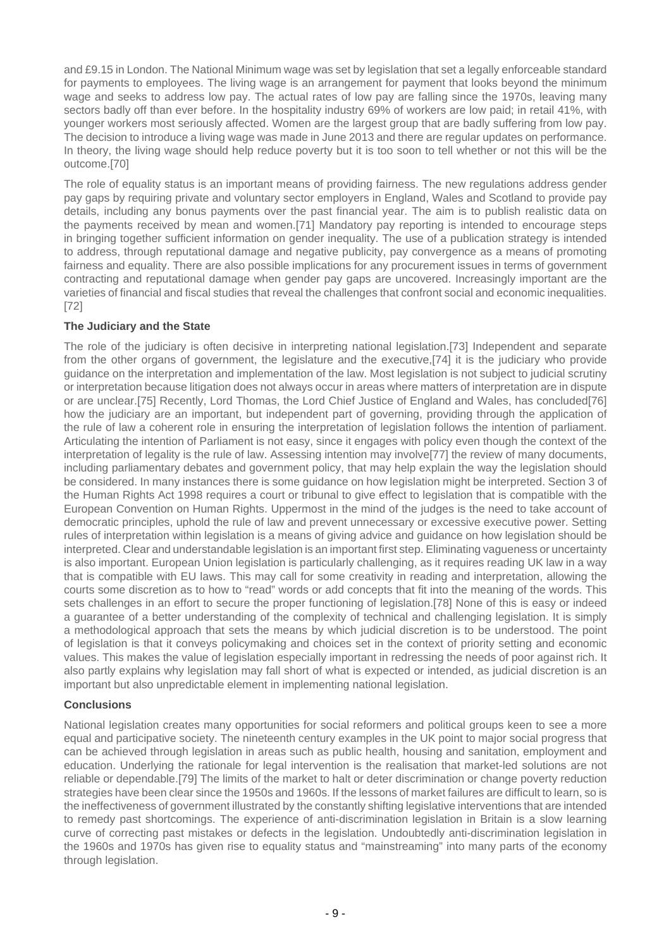and £9.15 in London. The National Minimum wage was set by legislation that set a legally enforceable standard for payments to employees. The living wage is an arrangement for payment that looks beyond the minimum wage and seeks to address low pay. The actual rates of low pay are falling since the 1970s, leaving many sectors badly off than ever before. In the hospitality industry 69% of workers are low paid; in retail 41%, with younger workers most seriously affected. Women are the largest group that are badly suffering from low pay. The decision to introduce a living wage was made in June 2013 and there are regular updates on performance. In theory, the living wage should help reduce poverty but it is too soon to tell whether or not this will be the outcome.[70]

The role of equality status is an important means of providing fairness. The new regulations address gender pay gaps by requiring private and voluntary sector employers in England, Wales and Scotland to provide pay details, including any bonus payments over the past financial year. The aim is to publish realistic data on the payments received by mean and women.[71] Mandatory pay reporting is intended to encourage steps in bringing together sufficient information on gender inequality. The use of a publication strategy is intended to address, through reputational damage and negative publicity, pay convergence as a means of promoting fairness and equality. There are also possible implications for any procurement issues in terms of government contracting and reputational damage when gender pay gaps are uncovered. Increasingly important are the varieties of financial and fiscal studies that reveal the challenges that confront social and economic inequalities. [72]

# **The Judiciary and the State**

The role of the judiciary is often decisive in interpreting national legislation.[73] Independent and separate from the other organs of government, the legislature and the executive,[74] it is the judiciary who provide guidance on the interpretation and implementation of the law. Most legislation is not subject to judicial scrutiny or interpretation because litigation does not always occur in areas where matters of interpretation are in dispute or are unclear.[75] Recently, Lord Thomas, the Lord Chief Justice of England and Wales, has concluded[76] how the judiciary are an important, but independent part of governing, providing through the application of the rule of law a coherent role in ensuring the interpretation of legislation follows the intention of parliament. Articulating the intention of Parliament is not easy, since it engages with policy even though the context of the interpretation of legality is the rule of law. Assessing intention may involve[77] the review of many documents, including parliamentary debates and government policy, that may help explain the way the legislation should be considered. In many instances there is some guidance on how legislation might be interpreted. Section 3 of the Human Rights Act 1998 requires a court or tribunal to give effect to legislation that is compatible with the European Convention on Human Rights. Uppermost in the mind of the judges is the need to take account of democratic principles, uphold the rule of law and prevent unnecessary or excessive executive power. Setting rules of interpretation within legislation is a means of giving advice and guidance on how legislation should be interpreted. Clear and understandable legislation is an important first step. Eliminating vagueness or uncertainty is also important. European Union legislation is particularly challenging, as it requires reading UK law in a way that is compatible with EU laws. This may call for some creativity in reading and interpretation, allowing the courts some discretion as to how to "read" words or add concepts that fit into the meaning of the words. This sets challenges in an effort to secure the proper functioning of legislation.[78] None of this is easy or indeed a guarantee of a better understanding of the complexity of technical and challenging legislation. It is simply a methodological approach that sets the means by which judicial discretion is to be understood. The point of legislation is that it conveys policymaking and choices set in the context of priority setting and economic values. This makes the value of legislation especially important in redressing the needs of poor against rich. It also partly explains why legislation may fall short of what is expected or intended, as judicial discretion is an important but also unpredictable element in implementing national legislation.

#### **Conclusions**

National legislation creates many opportunities for social reformers and political groups keen to see a more equal and participative society. The nineteenth century examples in the UK point to major social progress that can be achieved through legislation in areas such as public health, housing and sanitation, employment and education. Underlying the rationale for legal intervention is the realisation that market-led solutions are not reliable or dependable.[79] The limits of the market to halt or deter discrimination or change poverty reduction strategies have been clear since the 1950s and 1960s. If the lessons of market failures are difficult to learn, so is the ineffectiveness of government illustrated by the constantly shifting legislative interventions that are intended to remedy past shortcomings. The experience of anti-discrimination legislation in Britain is a slow learning curve of correcting past mistakes or defects in the legislation. Undoubtedly anti-discrimination legislation in the 1960s and 1970s has given rise to equality status and "mainstreaming" into many parts of the economy through legislation.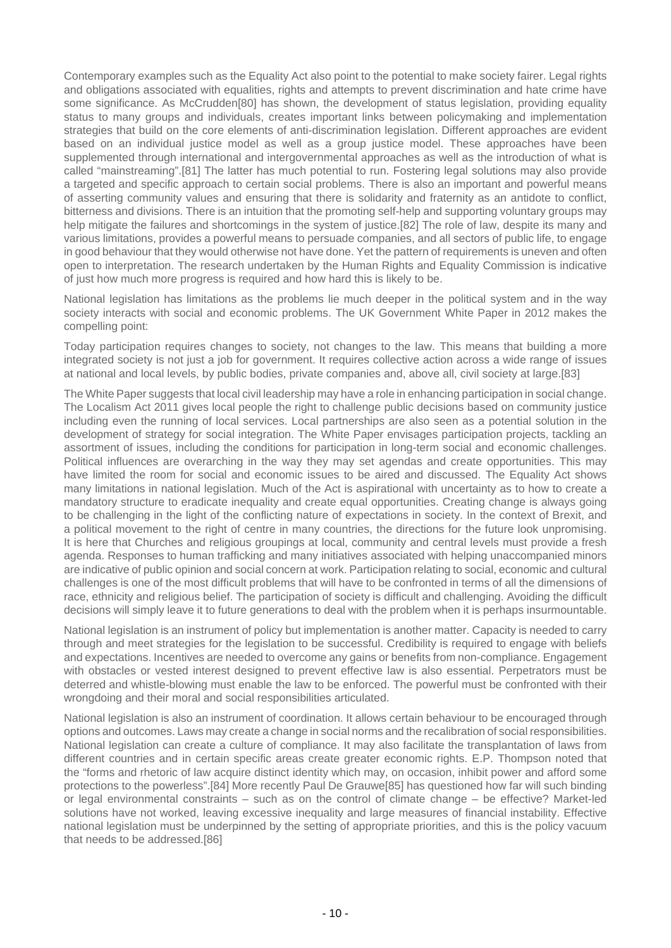Contemporary examples such as the Equality Act also point to the potential to make society fairer. Legal rights and obligations associated with equalities, rights and attempts to prevent discrimination and hate crime have some significance. As McCrudden[80] has shown, the development of status legislation, providing equality status to many groups and individuals, creates important links between policymaking and implementation strategies that build on the core elements of anti-discrimination legislation. Different approaches are evident based on an individual justice model as well as a group justice model. These approaches have been supplemented through international and intergovernmental approaches as well as the introduction of what is called "mainstreaming".[81] The latter has much potential to run. Fostering legal solutions may also provide a targeted and specific approach to certain social problems. There is also an important and powerful means of asserting community values and ensuring that there is solidarity and fraternity as an antidote to conflict, bitterness and divisions. There is an intuition that the promoting self-help and supporting voluntary groups may help mitigate the failures and shortcomings in the system of justice.[82] The role of law, despite its many and various limitations, provides a powerful means to persuade companies, and all sectors of public life, to engage in good behaviour that they would otherwise not have done. Yet the pattern of requirements is uneven and often open to interpretation. The research undertaken by the Human Rights and Equality Commission is indicative of just how much more progress is required and how hard this is likely to be.

National legislation has limitations as the problems lie much deeper in the political system and in the way society interacts with social and economic problems. The UK Government White Paper in 2012 makes the compelling point:

Today participation requires changes to society, not changes to the law. This means that building a more integrated society is not just a job for government. It requires collective action across a wide range of issues at national and local levels, by public bodies, private companies and, above all, civil society at large.[83]

The White Paper suggests that local civil leadership may have a role in enhancing participation in social change. The Localism Act 2011 gives local people the right to challenge public decisions based on community justice including even the running of local services. Local partnerships are also seen as a potential solution in the development of strategy for social integration. The White Paper envisages participation projects, tackling an assortment of issues, including the conditions for participation in long-term social and economic challenges. Political influences are overarching in the way they may set agendas and create opportunities. This may have limited the room for social and economic issues to be aired and discussed. The Equality Act shows many limitations in national legislation. Much of the Act is aspirational with uncertainty as to how to create a mandatory structure to eradicate inequality and create equal opportunities. Creating change is always going to be challenging in the light of the conflicting nature of expectations in society. In the context of Brexit, and a political movement to the right of centre in many countries, the directions for the future look unpromising. It is here that Churches and religious groupings at local, community and central levels must provide a fresh agenda. Responses to human trafficking and many initiatives associated with helping unaccompanied minors are indicative of public opinion and social concern at work. Participation relating to social, economic and cultural challenges is one of the most difficult problems that will have to be confronted in terms of all the dimensions of race, ethnicity and religious belief. The participation of society is difficult and challenging. Avoiding the difficult decisions will simply leave it to future generations to deal with the problem when it is perhaps insurmountable.

National legislation is an instrument of policy but implementation is another matter. Capacity is needed to carry through and meet strategies for the legislation to be successful. Credibility is required to engage with beliefs and expectations. Incentives are needed to overcome any gains or benefits from non-compliance. Engagement with obstacles or vested interest designed to prevent effective law is also essential. Perpetrators must be deterred and whistle-blowing must enable the law to be enforced. The powerful must be confronted with their wrongdoing and their moral and social responsibilities articulated.

National legislation is also an instrument of coordination. It allows certain behaviour to be encouraged through options and outcomes. Laws may create a change in social norms and the recalibration of social responsibilities. National legislation can create a culture of compliance. It may also facilitate the transplantation of laws from different countries and in certain specific areas create greater economic rights. E.P. Thompson noted that the "forms and rhetoric of law acquire distinct identity which may, on occasion, inhibit power and afford some protections to the powerless".[84] More recently Paul De Grauwe[85] has questioned how far will such binding or legal environmental constraints – such as on the control of climate change – be effective? Market-led solutions have not worked, leaving excessive inequality and large measures of financial instability. Effective national legislation must be underpinned by the setting of appropriate priorities, and this is the policy vacuum that needs to be addressed.[86]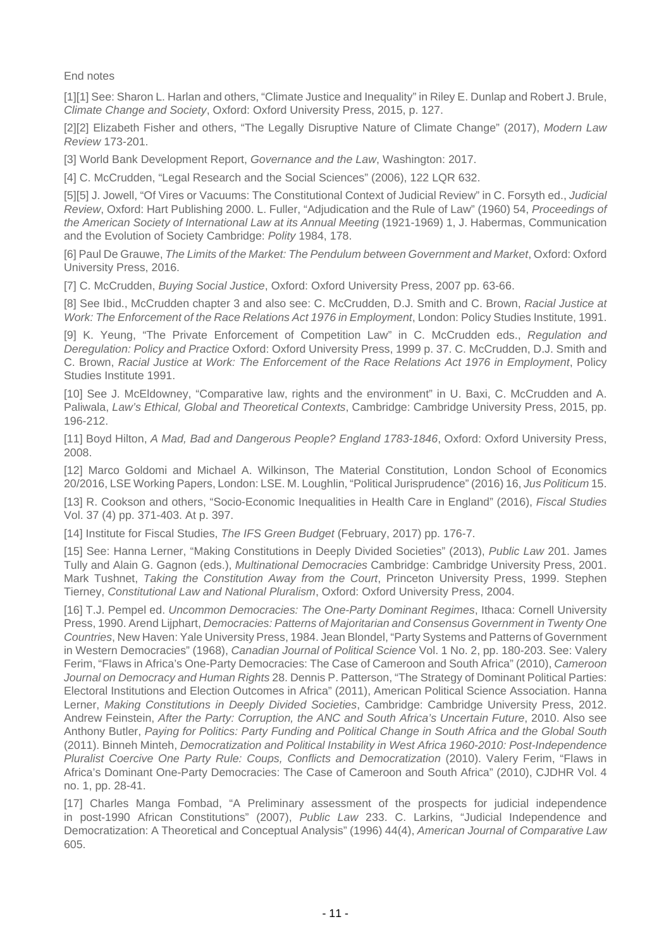End notes

[1][1] See: Sharon L. Harlan and others, "Climate Justice and Inequality" in Riley E. Dunlap and Robert J. Brule, Climate Change and Society, Oxford: Oxford University Press, 2015, p. 127.

[2][2] Elizabeth Fisher and others, "The Legally Disruptive Nature of Climate Change" (2017), Modern Law Review 173-201.

[3] World Bank Development Report, Governance and the Law, Washington: 2017.

[4] C. McCrudden, "Legal Research and the Social Sciences" (2006), 122 LQR 632.

[5][5] J. Jowell, "Of Vires or Vacuums: The Constitutional Context of Judicial Review" in C. Forsyth ed., Judicial Review, Oxford: Hart Publishing 2000. L. Fuller, "Adjudication and the Rule of Law" (1960) 54, Proceedings of the American Society of International Law at its Annual Meeting (1921-1969) 1, J. Habermas, Communication and the Evolution of Society Cambridge: Polity 1984, 178.

[6] Paul De Grauwe, The Limits of the Market: The Pendulum between Government and Market, Oxford: Oxford University Press, 2016.

[7] C. McCrudden, Buying Social Justice, Oxford: Oxford University Press, 2007 pp. 63-66.

[8] See Ibid., McCrudden chapter 3 and also see: C. McCrudden, D.J. Smith and C. Brown, Racial Justice at Work: The Enforcement of the Race Relations Act 1976 in Employment, London: Policy Studies Institute, 1991.

[9] K. Yeung, "The Private Enforcement of Competition Law" in C. McCrudden eds., Regulation and Deregulation: Policy and Practice Oxford: Oxford University Press, 1999 p. 37. C. McCrudden, D.J. Smith and C. Brown, Racial Justice at Work: The Enforcement of the Race Relations Act 1976 in Employment, Policy Studies Institute 1991.

[10] See J. McEldowney, "Comparative law, rights and the environment" in U. Baxi, C. McCrudden and A. Paliwala, Law's Ethical, Global and Theoretical Contexts, Cambridge: Cambridge University Press, 2015, pp. 196-212.

[11] Boyd Hilton, A Mad, Bad and Dangerous People? England 1783-1846, Oxford: Oxford University Press, 2008.

[12] Marco Goldomi and Michael A. Wilkinson, The Material Constitution, London School of Economics 20/2016, LSE Working Papers, London: LSE. M. Loughlin, "Political Jurisprudence" (2016) 16, Jus Politicum 15.

[13] R. Cookson and others, "Socio-Economic Inequalities in Health Care in England" (2016), Fiscal Studies Vol. 37 (4) pp. 371-403. At p. 397.

[14] Institute for Fiscal Studies, The IFS Green Budget (February, 2017) pp. 176-7.

[15] See: Hanna Lerner, "Making Constitutions in Deeply Divided Societies" (2013), Public Law 201. James Tully and Alain G. Gagnon (eds.), Multinational Democracies Cambridge: Cambridge University Press, 2001. Mark Tushnet, Taking the Constitution Away from the Court, Princeton University Press, 1999. Stephen Tierney, Constitutional Law and National Pluralism, Oxford: Oxford University Press, 2004.

[16] T.J. Pempel ed. *Uncommon Democracies: The One-Party Dominant Regimes*, Ithaca: Cornell University Press, 1990. Arend Lijphart, Democracies: Patterns of Majoritarian and Consensus Government in Twenty One Countries, New Haven: Yale University Press, 1984. Jean Blondel, "Party Systems and Patterns of Government in Western Democracies" (1968), Canadian Journal of Political Science Vol. 1 No. 2, pp. 180-203. See: Valery Ferim, "Flaws in Africa's One-Party Democracies: The Case of Cameroon and South Africa" (2010), Cameroon Journal on Democracy and Human Rights 28. Dennis P. Patterson, "The Strategy of Dominant Political Parties: Electoral Institutions and Election Outcomes in Africa" (2011), American Political Science Association. Hanna Lerner, Making Constitutions in Deeply Divided Societies, Cambridge: Cambridge University Press, 2012. Andrew Feinstein, After the Party: Corruption, the ANC and South Africa's Uncertain Future, 2010. Also see Anthony Butler, Paying for Politics: Party Funding and Political Change in South Africa and the Global South (2011). Binneh Minteh, Democratization and Political Instability in West Africa 1960-2010: Post-Independence Pluralist Coercive One Party Rule: Coups, Conflicts and Democratization (2010). Valery Ferim, "Flaws in Africa's Dominant One-Party Democracies: The Case of Cameroon and South Africa" (2010), CJDHR Vol. 4 no. 1, pp. 28-41.

[17] Charles Manga Fombad, "A Preliminary assessment of the prospects for judicial independence in post-1990 African Constitutions" (2007), Public Law 233. C. Larkins, "Judicial Independence and Democratization: A Theoretical and Conceptual Analysis" (1996) 44(4), American Journal of Comparative Law 605.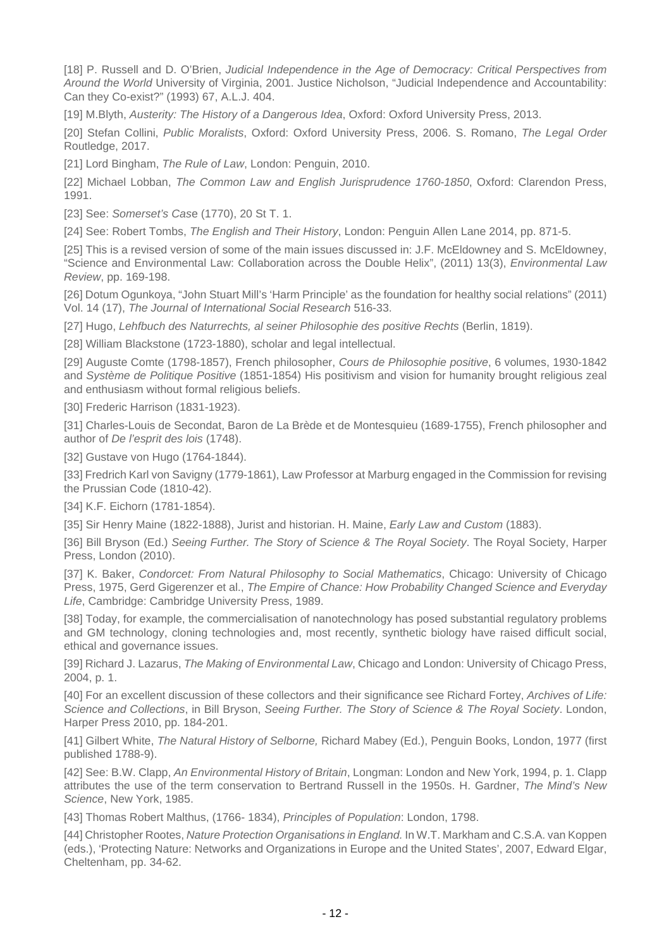[18] P. Russell and D. O'Brien, Judicial Independence in the Age of Democracy: Critical Perspectives from Around the World University of Virginia, 2001. Justice Nicholson, "Judicial Independence and Accountability: Can they Co-exist?" (1993) 67, A.L.J. 404.

[19] M.Blyth, Austerity: The History of a Dangerous Idea, Oxford: Oxford University Press, 2013.

[20] Stefan Collini, Public Moralists, Oxford: Oxford University Press, 2006. S. Romano, The Legal Order Routledge, 2017.

[21] Lord Bingham, The Rule of Law, London: Penguin, 2010.

[22] Michael Lobban, The Common Law and English Jurisprudence 1760-1850, Oxford: Clarendon Press, 1991.

[23] See: Somerset's Case (1770), 20 St T. 1.

[24] See: Robert Tombs, The English and Their History, London: Penguin Allen Lane 2014, pp. 871-5.

[25] This is a revised version of some of the main issues discussed in: J.F. McEldowney and S. McEldowney. "Science and Environmental Law: Collaboration across the Double Helix", (2011) 13(3), Environmental Law Review, pp. 169-198.

[26] Dotum Ogunkoya, "John Stuart Mill's 'Harm Principle' as the foundation for healthy social relations" (2011) Vol. 14 (17), The Journal of International Social Research 516-33.

[27] Hugo, Lehfbuch des Naturrechts, al seiner Philosophie des positive Rechts (Berlin, 1819).

[28] William Blackstone (1723-1880), scholar and legal intellectual.

[29] Auguste Comte (1798-1857), French philosopher, Cours de Philosophie positive, 6 volumes, 1930-1842 and Système de Politique Positive (1851-1854) His positivism and vision for humanity brought religious zeal and enthusiasm without formal religious beliefs.

[30] Frederic Harrison (1831-1923).

[31] Charles-Louis de Secondat, Baron de La Brède et de Montesquieu (1689-1755), French philosopher and author of De l'esprit des lois (1748).

[32] Gustave von Hugo (1764-1844).

[33] Fredrich Karl von Savigny (1779-1861), Law Professor at Marburg engaged in the Commission for revising the Prussian Code (1810-42).

[34] K.F. Eichorn (1781-1854).

[35] Sir Henry Maine (1822-1888), Jurist and historian. H. Maine, *Early Law and Custom* (1883).

[36] Bill Bryson (Ed.) Seeing Further. The Story of Science & The Royal Society. The Royal Society, Harper Press, London (2010).

[37] K. Baker, Condorcet: From Natural Philosophy to Social Mathematics, Chicago: University of Chicago Press, 1975, Gerd Gigerenzer et al., The Empire of Chance: How Probability Changed Science and Everyday Life, Cambridge: Cambridge University Press, 1989.

[38] Today, for example, the commercialisation of nanotechnology has posed substantial regulatory problems and GM technology, cloning technologies and, most recently, synthetic biology have raised difficult social, ethical and governance issues.

[39] Richard J. Lazarus, *The Making of Environmental Law*, Chicago and London: University of Chicago Press, 2004, p. 1.

[40] For an excellent discussion of these collectors and their significance see Richard Fortey, Archives of Life: Science and Collections, in Bill Bryson, Seeing Further. The Story of Science & The Royal Society. London, Harper Press 2010, pp. 184-201.

[41] Gilbert White, The Natural History of Selborne, Richard Mabey (Ed.), Penguin Books, London, 1977 (first published 1788-9).

[42] See: B.W. Clapp, An Environmental History of Britain, Longman: London and New York, 1994, p. 1. Clapp attributes the use of the term conservation to Bertrand Russell in the 1950s. H. Gardner, The Mind's New Science, New York, 1985.

[43] Thomas Robert Malthus, (1766-1834), Principles of Population: London, 1798.

[44] Christopher Rootes, Nature Protection Organisations in England. In W.T. Markham and C.S.A. van Koppen (eds.), 'Protecting Nature: Networks and Organizations in Europe and the United States', 2007, Edward Elgar, Cheltenham, pp. 34-62.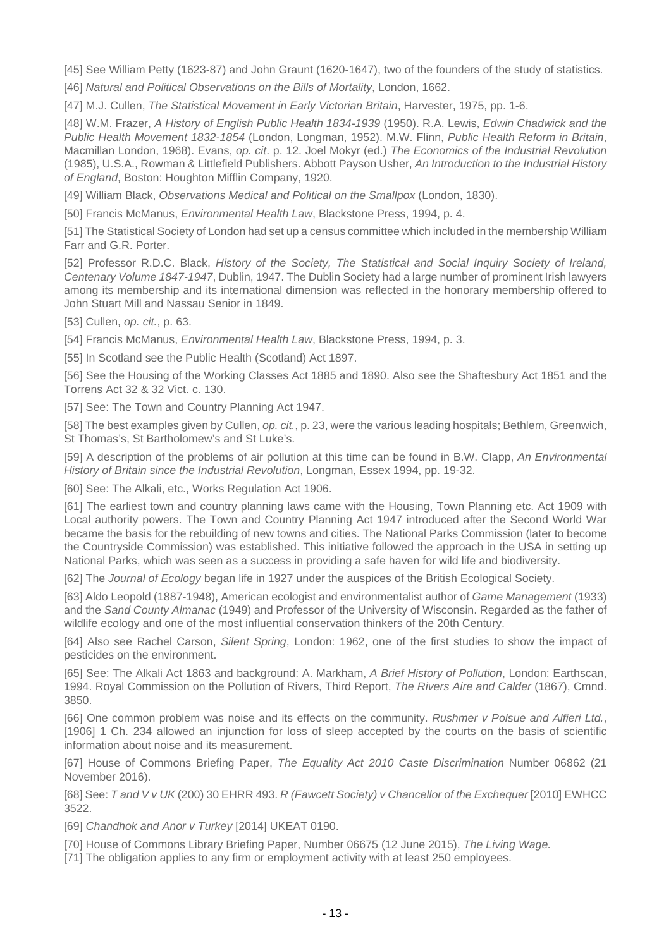[45] See William Petty (1623-87) and John Graunt (1620-1647), two of the founders of the study of statistics.

[46] Natural and Political Observations on the Bills of Mortality, London, 1662.

[47] M.J. Cullen, The Statistical Movement in Early Victorian Britain, Harvester, 1975, pp. 1-6.

[48] W.M. Frazer, A History of English Public Health 1834-1939 (1950). R.A. Lewis, Edwin Chadwick and the Public Health Movement 1832-1854 (London, Longman, 1952). M.W. Flinn, Public Health Reform in Britain, Macmillan London, 1968). Evans, op. cit. p. 12. Joel Mokyr (ed.) The Economics of the Industrial Revolution (1985), U.S.A., Rowman & Littlefield Publishers. Abbott Payson Usher, An Introduction to the Industrial History of England, Boston: Houghton Mifflin Company, 1920.

[49] William Black, Observations Medical and Political on the Smallpox (London, 1830).

[50] Francis McManus, Environmental Health Law, Blackstone Press, 1994, p. 4.

[51] The Statistical Society of London had set up a census committee which included in the membership William Farr and G.R. Porter.

[52] Professor R.D.C. Black, History of the Society, The Statistical and Social Inquiry Society of Ireland, Centenary Volume 1847-1947, Dublin, 1947. The Dublin Society had a large number of prominent Irish lawyers among its membership and its international dimension was reflected in the honorary membership offered to John Stuart Mill and Nassau Senior in 1849.

[53] Cullen, op. cit., p. 63.

[54] Francis McManus, *Environmental Health Law*, Blackstone Press, 1994, p. 3.

[55] In Scotland see the Public Health (Scotland) Act 1897.

[56] See the Housing of the Working Classes Act 1885 and 1890. Also see the Shaftesbury Act 1851 and the Torrens Act 32 & 32 Vict. c. 130.

[57] See: The Town and Country Planning Act 1947.

[58] The best examples given by Cullen, op. cit., p. 23, were the various leading hospitals; Bethlem, Greenwich, St Thomas's, St Bartholomew's and St Luke's.

[59] A description of the problems of air pollution at this time can be found in B.W. Clapp, An Environmental History of Britain since the Industrial Revolution, Longman, Essex 1994, pp. 19-32.

[60] See: The Alkali, etc., Works Regulation Act 1906.

[61] The earliest town and country planning laws came with the Housing, Town Planning etc. Act 1909 with Local authority powers. The Town and Country Planning Act 1947 introduced after the Second World War became the basis for the rebuilding of new towns and cities. The National Parks Commission (later to become the Countryside Commission) was established. This initiative followed the approach in the USA in setting up National Parks, which was seen as a success in providing a safe haven for wild life and biodiversity.

[62] The Journal of Ecology began life in 1927 under the auspices of the British Ecological Society.

[63] Aldo Leopold (1887-1948), American ecologist and environmentalist author of Game Management (1933) and the Sand County Almanac (1949) and Professor of the University of Wisconsin. Regarded as the father of wildlife ecology and one of the most influential conservation thinkers of the 20th Century.

[64] Also see Rachel Carson, Silent Spring, London: 1962, one of the first studies to show the impact of pesticides on the environment.

[65] See: The Alkali Act 1863 and background: A. Markham, A Brief History of Pollution, London: Earthscan, 1994. Royal Commission on the Pollution of Rivers, Third Report, The Rivers Aire and Calder (1867), Cmnd. 3850.

[66] One common problem was noise and its effects on the community. Rushmer v Polsue and Alfieri Ltd., [1906] 1 Ch. 234 allowed an injunction for loss of sleep accepted by the courts on the basis of scientific information about noise and its measurement.

[67] House of Commons Briefing Paper, The Equality Act 2010 Caste Discrimination Number 06862 (21 November 2016).

[68] See: T and V v UK (200) 30 EHRR 493. R (Fawcett Society) v Chancellor of the Exchequer [2010] EWHCC 3522.

[69] Chandhok and Anor v Turkey [2014] UKEAT 0190.

[70] House of Commons Library Briefing Paper, Number 06675 (12 June 2015), The Living Wage.

[71] The obligation applies to any firm or employment activity with at least 250 employees.